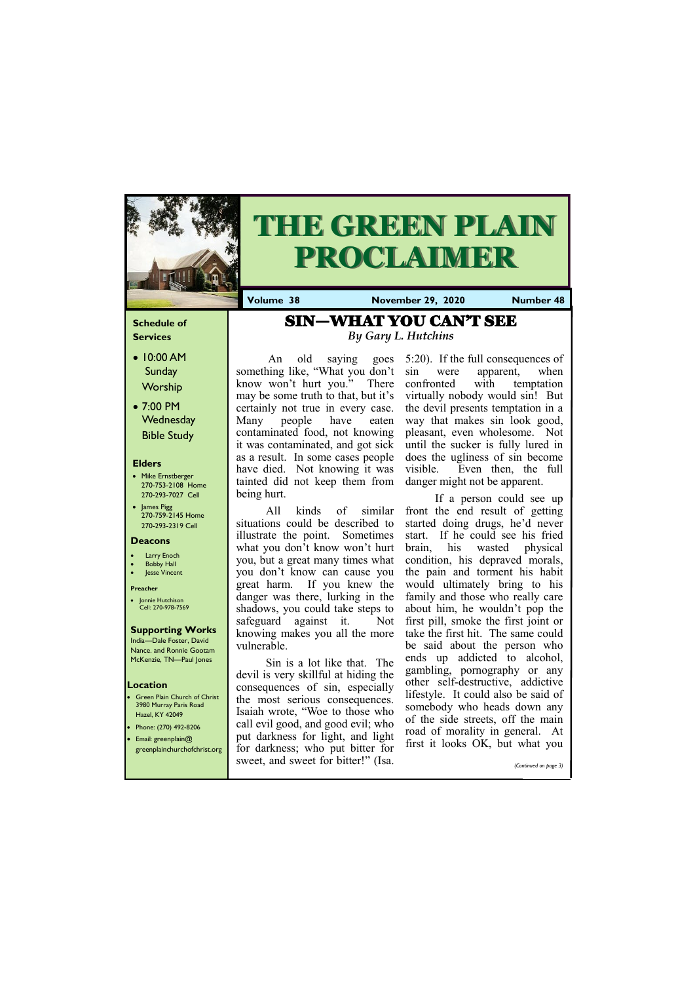### **Schedule of Services**

- 10:00 AM Sunday Worship
- 7:00 PM **Wednesday** Bible Study

#### **Elders**

- Mike Ernstberger 270-753-2108 Home 270-293-7027 Cell
- James Pigg 270-759-2145 Home 270-293-2319 Cell

#### **Location**

- Green Plain Church of Christ 3980 Murray Paris Road Hazel, KY 42049
- Phone: (270) 492-8206 • Email: greenplain@
- 



# **THE GREEN PLAIN PROCLAIMER**

**Volume 38 November 29, 2020 Number 48**

#### **Deacons**

- **Larry Enoch**
- **Bobby Hall**
- Jesse Vincent

#### **Preacher**

An old saying something like, "What you don't sin know won't hurt you." There may be some truth to that, but it's certainly not true in every case. Many people have eaten contaminated food, not knowing it was contaminated, and got sick as a result. In some cases people have died. Not knowing it was tainted did not keep them from being hurt.

• Jonnie Hutchison Cell: 270-978-7569

## **Supporting Works**

India—Dale Foster, David Nance. and Ronnie Gootam McKenzie, TN—Paul Jones

If a person could see up front the end result of getting started doing drugs, he'd never start. If he could see his fried brain, his wasted physical condition, his depraved morals, the pain and torment his habit would ultimately bring to his family and those who really care about him, he wouldn't pop the first pill, smoke the first joint or take the first hit. The same could be said about the person who ends up addicted to alcohol, gambling, pornography or any other self-destructive, addictive lifestyle. It could also be said of somebody who heads down any of the side streets, off the main road of morality in general. At  $f'' + 1$  it lots it is easy of the solution of  $\overline{O}(k)$ 

All kinds of similar situations could be described to illustrate the point. Sometimes what you don't know won't hurt you, but a great many times what you don't know can cause you great harm. If you knew the danger was there, lurking in the shadows, you could take steps to safeguard against it. Not knowing makes you all the more vulnerable.

Sin is a lot like that. The devil is very skillful at hiding the consequences of sin, especially the most serious consequences. Isaiah wrote, "Woe to those who call evil good, and good evil; who put darkness for light, and light

| greenplainchurchofchrist.org for darkness; who put bitter for IIISU IL TOUKS UN, UUL WITH YOU |                       |
|-----------------------------------------------------------------------------------------------|-----------------------|
| sweet, and sweet for bitter!" (Isa.                                                           | (Continued on page 3) |

5:20). If the full consequences of were apparent, when confronted with temptation virtually nobody would sin! But the devil presents temptation in a way that makes sin look good, pleasant, even wholesome. Not until the sucker is fully lured in does the ugliness of sin become visible. Even then, the full danger might not be apparent.

# SIN—WHAT YOU CAN'T SEE *By Gary L. Hutchins*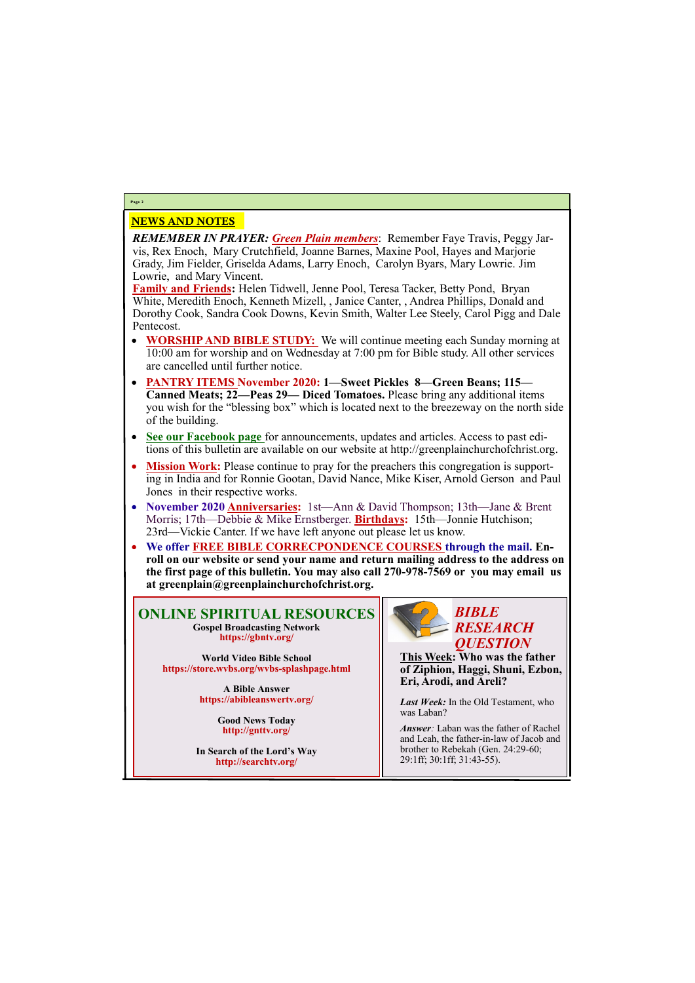## NEWS AND NOTES

*REMEMBER IN PRAYER: Green Plain members*: Remember Faye Travis, Peggy Jarvis, Rex Enoch, Mary Crutchfield, Joanne Barnes, Maxine Pool, Hayes and Marjorie Grady, Jim Fielder, Griselda Adams, Larry Enoch, Carolyn Byars, Mary Lowrie. Jim Lowrie, and Mary Vincent.

**Family and Friends:** Helen Tidwell, Jenne Pool, Teresa Tacker, Betty Pond, Bryan White, Meredith Enoch, Kenneth Mizell, , Janice Canter, , Andrea Phillips, Donald and Dorothy Cook, Sandra Cook Downs, Kevin Smith, Walter Lee Steely, Carol Pigg and Dale Pentecost.

- **WORSHIP AND BIBLE STUDY:** We will continue meeting each Sunday morning at 10:00 am for worship and on Wednesday at 7:00 pm for Bible study. All other services are cancelled until further notice.
- **PANTRY ITEMS November 2020: 1—Sweet Pickles 8—Green Beans; 115— Canned Meats; 22—Peas 29— Diced Tomatoes.** Please bring any additional items you wish for the "blessing box" which is located next to the breezeway on the north side of the building.
- **See our Facebook page** for announcements, updates and articles. Access to past editions of this bulletin are available on our website at http://greenplainchurchofchrist.org.
- **Mission Work:** Please continue to pray for the preachers this congregation is supporting in India and for Ronnie Gootan, David Nance, Mike Kiser, Arnold Gerson and Paul Jones in their respective works.
- **November 2020 Anniversaries:** 1st—Ann & David Thompson; 13th—Jane & Brent Morris; 17th—Debbie & Mike Ernstberger. **Birthdays:** 15th—Jonnie Hutchison; 23rd—Vickie Canter. If we have left anyone out please let us know.
- **We offer FREE BIBLE CORRECPONDENCE COURSES through the mail. Enroll on our website or send your name and return mailing address to the address on the first page of this bulletin. You may also call 270-978-7569 or you may email us at greenplain@greenplainchurchofchrist.org.**

## **Page 2**

**ONLINE SPIRITUAL RESOURCES Gospel Broadcasting Network https://gbntv.org/**

**World Video Bible School https://store.wvbs.org/wvbs-splashpage.html**

> **A Bible Answer https://abibleanswertv.org/**

> > **Good News Today http://gnttv.org/**

**In Search of the Lord's Way http://searchtv.org/**



**This Week: Who was the father of Ziphion, Haggi, Shuni, Ezbon, Eri, Arodi, and Areli?**

*Last Week:* In the Old Testament, who was Laban?

*Answer:* Laban was the father of Rachel and Leah, the father-in-law of Jacob and

brother to Rebekah (Gen. 24:29-60; 29:1ff; 30:1ff; 31:43-55).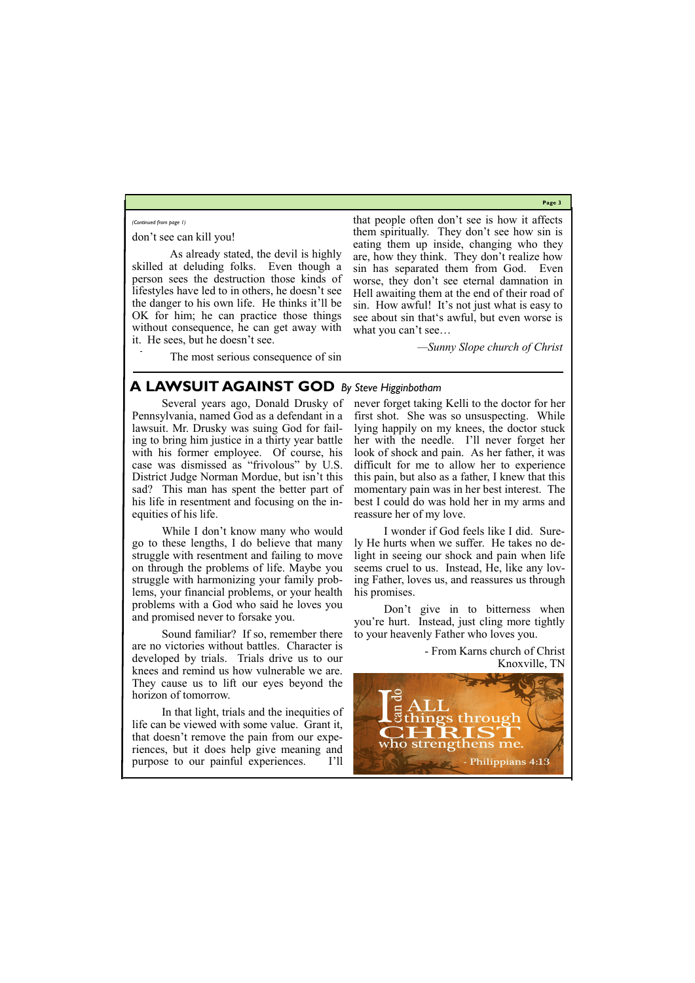**Page 3**

who strengthens me riences, but it does help give meaning and purpose to our painful experiences. I'll **Philippians 4:13** 

don't see can kill you!

 As already stated, the devil is highly skilled at deluding folks. Even though a person sees the destruction those kinds of lifestyles have led to in others, he doesn't see the danger to his own life. He thinks it'll be OK for him; he can practice those things without consequence, he can get away with it. He sees, but he doesn't see.

The most serious consequence of sin

that people often don't see is how it affects them spiritually. They don't see how sin is eating them up inside, changing who they are, how they think. They don't realize how sin has separated them from God. Even worse, they don't see eternal damnation in Hell awaiting them at the end of their road of sin. How awful! It's not just what is easy to see about sin that's awful, but even worse is what you can't see…

*—Sunny Slope church of Christ*

*(Continued from page 1)*

## **A LAWSUIT AGAINST GOD** *By Steve Higginbotham*

Several years ago, Donald Drusky of Pennsylvania, named God as a defendant in a lawsuit. Mr. Drusky was suing God for failing to bring him justice in a thirty year battle with his former employee. Of course, his case was dismissed as "frivolous" by U.S. District Judge Norman Mordue, but isn't this sad? This man has spent the better part of his life in resentment and focusing on the inequities of his life.

While I don't know many who would go to these lengths, I do believe that many struggle with resentment and failing to move on through the problems of life. Maybe you struggle with harmonizing your family problems, your financial problems, or your health problems with a God who said he loves you and promised never to forsake you.

Sound familiar? If so, remember there are no victories without battles. Character is developed by trials. Trials drive us to our knees and remind us how vulnerable we are. They cause us to lift our eyes beyond the horizon of tomorrow.

In that light, trials and the inequities of life can be viewed with some value. Grant it, that doesn't remove the pain from our expenever forget taking Kelli to the doctor for her first shot. She was so unsuspecting. While lying happily on my knees, the doctor stuck her with the needle. I'll never forget her look of shock and pain. As her father, it was difficult for me to allow her to experience this pain, but also as a father, I knew that this momentary pain was in her best interest. The best I could do was hold her in my arms and reassure her of my love.

I wonder if God feels like I did. Surely He hurts when we suffer. He takes no delight in seeing our shock and pain when life seems cruel to us. Instead, He, like any loving Father, loves us, and reassures us through his promises.

Don't give in to bitterness when you're hurt. Instead, just cling more tightly to your heavenly Father who loves you.

> - From Karns church of Christ Knoxville, TN